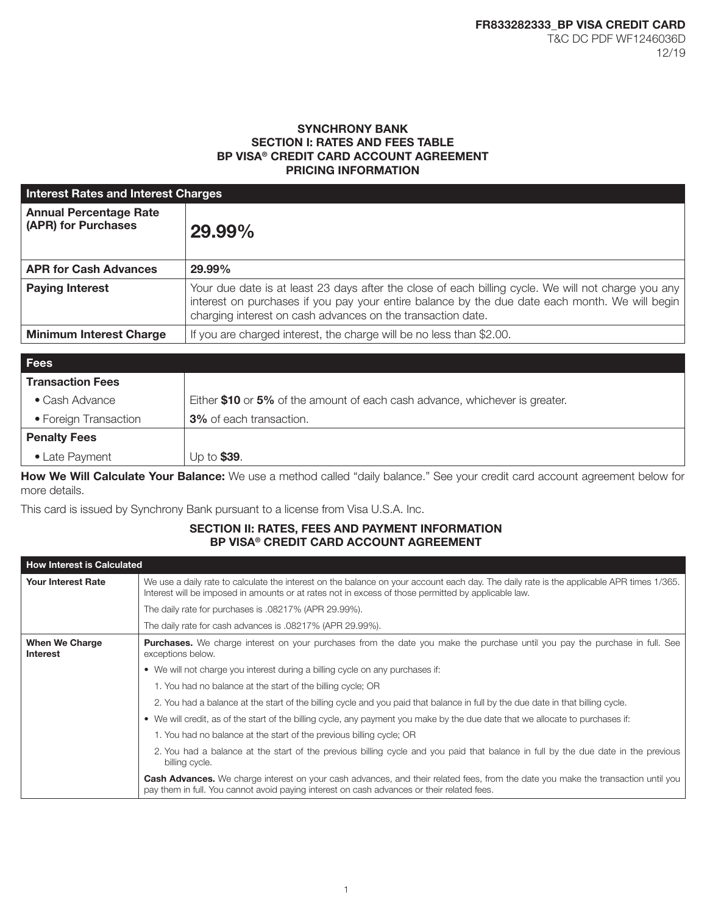## SYNCHRONY BANK SECTION I: RATES AND FEES TABLE BP VISA® CREDIT CARD ACCOUNT AGREEMENT PRICING INFORMATION

| <b>Interest Rates and Interest Charges</b>           |                                                                                                                                                                                                                                                                      |  |
|------------------------------------------------------|----------------------------------------------------------------------------------------------------------------------------------------------------------------------------------------------------------------------------------------------------------------------|--|
| <b>Annual Percentage Rate</b><br>(APR) for Purchases | 29.99%                                                                                                                                                                                                                                                               |  |
| <b>APR for Cash Advances</b>                         | 29.99%                                                                                                                                                                                                                                                               |  |
| <b>Paying Interest</b>                               | Your due date is at least 23 days after the close of each billing cycle. We will not charge you any<br>interest on purchases if you pay your entire balance by the due date each month. We will begin<br>charging interest on cash advances on the transaction date. |  |
| <b>Minimum Interest Charge</b>                       | If you are charged interest, the charge will be no less than \$2.00.                                                                                                                                                                                                 |  |

| <b>Fees</b>             |                                                                             |
|-------------------------|-----------------------------------------------------------------------------|
| <b>Transaction Fees</b> |                                                                             |
| $\bullet$ Cash Advance  | Either \$10 or 5% of the amount of each cash advance, whichever is greater. |
| • Foreign Transaction   | <b>3%</b> of each transaction.                                              |
| <b>Penalty Fees</b>     |                                                                             |
| • Late Payment          | Up to \$39.                                                                 |

How We Will Calculate Your Balance: We use a method called "daily balance." See your credit card account agreement below for more details.

This card is issued by Synchrony Bank pursuant to a license from Visa U.S.A. Inc.

# SECTION II: RATES, FEES AND PAYMENT INFORMATION BP VISA® CREDIT CARD ACCOUNT AGREEMENT

| <b>How Interest is Calculated</b>        |                                                                                                                                                                                                                                                 |  |
|------------------------------------------|-------------------------------------------------------------------------------------------------------------------------------------------------------------------------------------------------------------------------------------------------|--|
| <b>Your Interest Rate</b>                | We use a daily rate to calculate the interest on the balance on your account each day. The daily rate is the applicable APR times 1/365.<br>Interest will be imposed in amounts or at rates not in excess of those permitted by applicable law. |  |
|                                          | The daily rate for purchases is .08217% (APR 29.99%).                                                                                                                                                                                           |  |
|                                          | The daily rate for cash advances is .08217% (APR 29.99%).                                                                                                                                                                                       |  |
| <b>When We Charge</b><br><b>Interest</b> | <b>Purchases.</b> We charge interest on your purchases from the date you make the purchase until you pay the purchase in full. See<br>exceptions below.                                                                                         |  |
|                                          | • We will not charge you interest during a billing cycle on any purchases if:                                                                                                                                                                   |  |
|                                          | 1. You had no balance at the start of the billing cycle; OR                                                                                                                                                                                     |  |
|                                          | 2. You had a balance at the start of the billing cycle and you paid that balance in full by the due date in that billing cycle.                                                                                                                 |  |
|                                          | • We will credit, as of the start of the billing cycle, any payment you make by the due date that we allocate to purchases if:                                                                                                                  |  |
|                                          | 1. You had no balance at the start of the previous billing cycle; OR                                                                                                                                                                            |  |
|                                          | 2. You had a balance at the start of the previous billing cycle and you paid that balance in full by the due date in the previous<br>billing cycle.                                                                                             |  |
|                                          | Cash Advances. We charge interest on your cash advances, and their related fees, from the date you make the transaction until you<br>pay them in full. You cannot avoid paying interest on cash advances or their related fees.                 |  |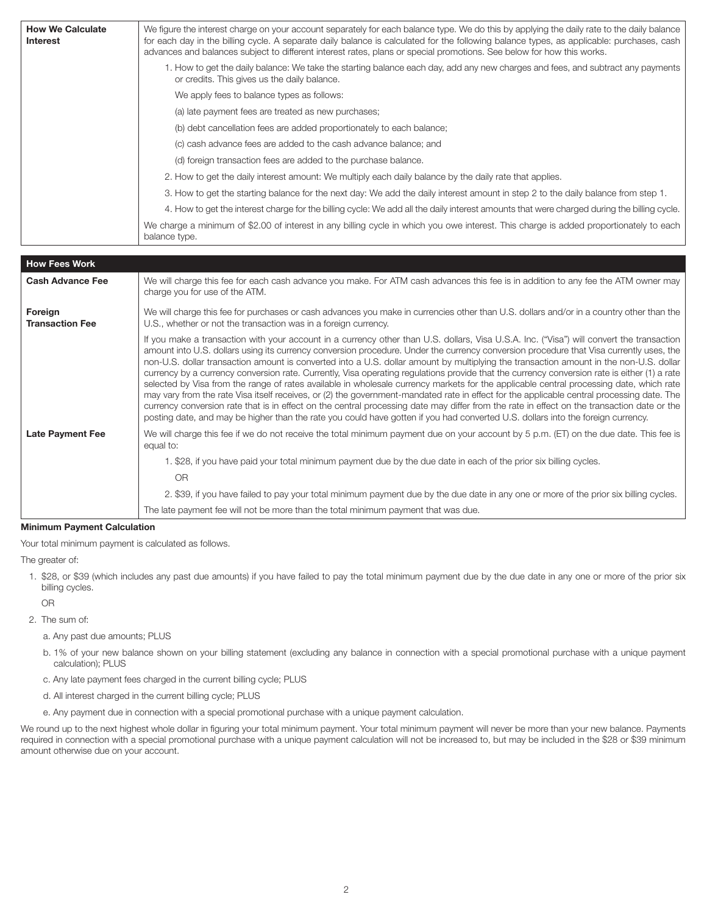| <b>How We Calculate</b><br>Interest | We figure the interest charge on your account separately for each balance type. We do this by applying the daily rate to the daily balance<br>for each day in the billing cycle. A separate daily balance is calculated for the following balance types, as applicable: purchases, cash<br>advances and balances subject to different interest rates, plans or special promotions. See below for how this works. |
|-------------------------------------|------------------------------------------------------------------------------------------------------------------------------------------------------------------------------------------------------------------------------------------------------------------------------------------------------------------------------------------------------------------------------------------------------------------|
|                                     | 1. How to get the daily balance: We take the starting balance each day, add any new charges and fees, and subtract any payments<br>or credits. This gives us the daily balance.                                                                                                                                                                                                                                  |
|                                     | We apply fees to balance types as follows:                                                                                                                                                                                                                                                                                                                                                                       |
|                                     | (a) late payment fees are treated as new purchases;                                                                                                                                                                                                                                                                                                                                                              |
|                                     | (b) debt cancellation fees are added proportionately to each balance;                                                                                                                                                                                                                                                                                                                                            |
|                                     | (c) cash advance fees are added to the cash advance balance; and                                                                                                                                                                                                                                                                                                                                                 |
|                                     | (d) foreign transaction fees are added to the purchase balance.                                                                                                                                                                                                                                                                                                                                                  |
|                                     | 2. How to get the daily interest amount: We multiply each daily balance by the daily rate that applies.                                                                                                                                                                                                                                                                                                          |
|                                     | 3. How to get the starting balance for the next day: We add the daily interest amount in step 2 to the daily balance from step 1.                                                                                                                                                                                                                                                                                |
|                                     | 4. How to get the interest charge for the billing cycle: We add all the daily interest amounts that were charged during the billing cycle.                                                                                                                                                                                                                                                                       |
|                                     | We charge a minimum of \$2.00 of interest in any billing cycle in which you owe interest. This charge is added proportionately to each<br>balance type.                                                                                                                                                                                                                                                          |

| <b>How Fees Work</b>              |                                                                                                                                                                                                                                                                                                                                                                                                                                                                                                                                                                                                                                                                                                                                                                                                                                                                                                                                                                                                                                                                                                                                                            |  |
|-----------------------------------|------------------------------------------------------------------------------------------------------------------------------------------------------------------------------------------------------------------------------------------------------------------------------------------------------------------------------------------------------------------------------------------------------------------------------------------------------------------------------------------------------------------------------------------------------------------------------------------------------------------------------------------------------------------------------------------------------------------------------------------------------------------------------------------------------------------------------------------------------------------------------------------------------------------------------------------------------------------------------------------------------------------------------------------------------------------------------------------------------------------------------------------------------------|--|
| <b>Cash Advance Fee</b>           | We will charge this fee for each cash advance you make. For ATM cash advances this fee is in addition to any fee the ATM owner may<br>charge you for use of the ATM.                                                                                                                                                                                                                                                                                                                                                                                                                                                                                                                                                                                                                                                                                                                                                                                                                                                                                                                                                                                       |  |
| Foreign<br><b>Transaction Fee</b> | We will charge this fee for purchases or cash advances you make in currencies other than U.S. dollars and/or in a country other than the<br>U.S., whether or not the transaction was in a foreign currency.                                                                                                                                                                                                                                                                                                                                                                                                                                                                                                                                                                                                                                                                                                                                                                                                                                                                                                                                                |  |
|                                   | If you make a transaction with your account in a currency other than U.S. dollars, Visa U.S.A. Inc. ("Visa") will convert the transaction<br>amount into U.S. dollars using its currency conversion procedure. Under the currency conversion procedure that Visa currently uses, the<br>non-U.S. dollar transaction amount is converted into a U.S. dollar amount by multiplying the transaction amount in the non-U.S. dollar<br>currency by a currency conversion rate. Currently, Visa operating regulations provide that the currency conversion rate is either (1) a rate<br>selected by Visa from the range of rates available in wholesale currency markets for the applicable central processing date, which rate<br>may vary from the rate Visa itself receives, or (2) the government-mandated rate in effect for the applicable central processing date. The<br>currency conversion rate that is in effect on the central processing date may differ from the rate in effect on the transaction date or the<br>posting date, and may be higher than the rate you could have gotten if you had converted U.S. dollars into the foreign currency. |  |
| <b>Late Payment Fee</b>           | We will charge this fee if we do not receive the total minimum payment due on your account by 5 p.m. (ET) on the due date. This fee is<br>equal to:                                                                                                                                                                                                                                                                                                                                                                                                                                                                                                                                                                                                                                                                                                                                                                                                                                                                                                                                                                                                        |  |
|                                   | 1. \$28, if you have paid your total minimum payment due by the due date in each of the prior six billing cycles.                                                                                                                                                                                                                                                                                                                                                                                                                                                                                                                                                                                                                                                                                                                                                                                                                                                                                                                                                                                                                                          |  |
|                                   | OR                                                                                                                                                                                                                                                                                                                                                                                                                                                                                                                                                                                                                                                                                                                                                                                                                                                                                                                                                                                                                                                                                                                                                         |  |
|                                   | 2. \$39, if you have failed to pay your total minimum payment due by the due date in any one or more of the prior six billing cycles.                                                                                                                                                                                                                                                                                                                                                                                                                                                                                                                                                                                                                                                                                                                                                                                                                                                                                                                                                                                                                      |  |
|                                   | The late payment fee will not be more than the total minimum payment that was due.                                                                                                                                                                                                                                                                                                                                                                                                                                                                                                                                                                                                                                                                                                                                                                                                                                                                                                                                                                                                                                                                         |  |

#### Minimum Payment Calculation

Your total minimum payment is calculated as follows.

The greater of:

1. \$28, or \$39 (which includes any past due amounts) if you have failed to pay the total minimum payment due by the due date in any one or more of the prior six billing cycles.

OR

- 2. The sum of:
	- a. Any past due amounts; PLUS
	- b. 1% of your new balance shown on your billing statement (excluding any balance in connection with a special promotional purchase with a unique payment calculation); PLUS
	- c. Any late payment fees charged in the current billing cycle; PLUS
	- d. All interest charged in the current billing cycle; PLUS
	- e. Any payment due in connection with a special promotional purchase with a unique payment calculation.

We round up to the next highest whole dollar in figuring your total minimum payment. Your total minimum payment will never be more than your new balance. Payments required in connection with a special promotional purchase with a unique payment calculation will not be increased to, but may be included in the \$28 or \$39 minimum amount otherwise due on your account.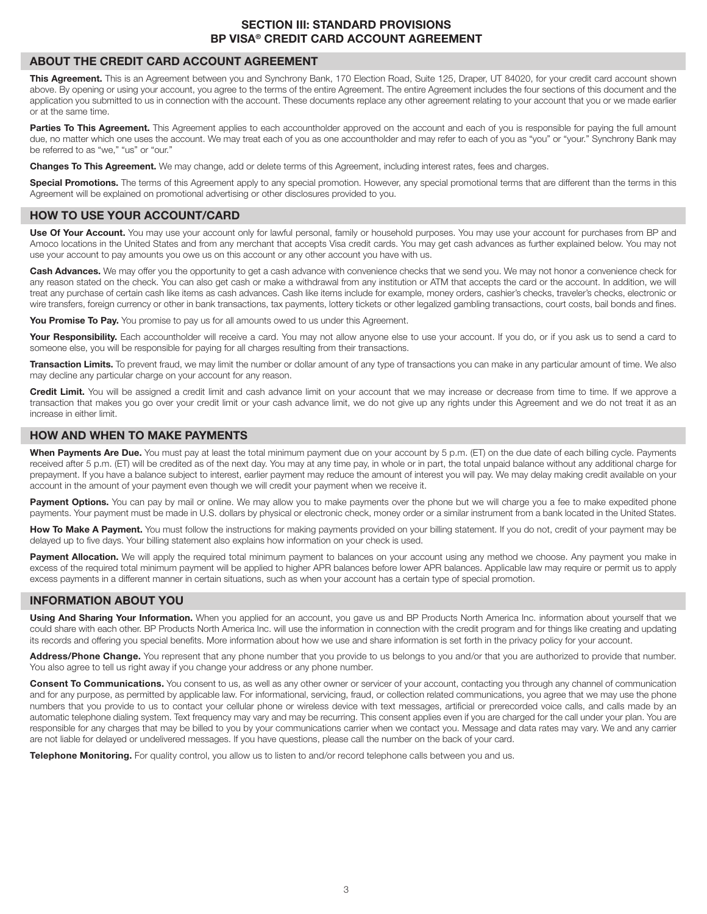## SECTION III: STANDARD PROVISIONS BP VISA® CREDIT CARD ACCOUNT AGREEMENT

#### ABOUT THE CREDIT CARD ACCOUNT AGREEMENT

This Agreement. This is an Agreement between you and Synchrony Bank, 170 Election Road, Suite 125, Draper, UT 84020, for your credit card account shown above. By opening or using your account, you agree to the terms of the entire Agreement. The entire Agreement includes the four sections of this document and the application you submitted to us in connection with the account. These documents replace any other agreement relating to your account that you or we made earlier or at the same time.

Parties To This Agreement. This Agreement applies to each accountholder approved on the account and each of you is responsible for paying the full amount due, no matter which one uses the account. We may treat each of you as one accountholder and may refer to each of you as "you" or "your." Synchrony Bank may be referred to as "we," "us" or "our."

Changes To This Agreement. We may change, add or delete terms of this Agreement, including interest rates, fees and charges.

Special Promotions. The terms of this Agreement apply to any special promotion. However, any special promotional terms that are different than the terms in this Agreement will be explained on promotional advertising or other disclosures provided to you.

## HOW TO USE YOUR ACCOUNT/CARD

Use Of Your Account. You may use your account only for lawful personal, family or household purposes. You may use your account for purchases from BP and Amoco locations in the United States and from any merchant that accepts Visa credit cards. You may get cash advances as further explained below. You may not use your account to pay amounts you owe us on this account or any other account you have with us.

Cash Advances. We may offer you the opportunity to get a cash advance with convenience checks that we send you. We may not honor a convenience check for any reason stated on the check. You can also get cash or make a withdrawal from any institution or ATM that accepts the card or the account. In addition, we will treat any purchase of certain cash like items as cash advances. Cash like items include for example, money orders, cashier's checks, traveler's checks, electronic or wire transfers, foreign currency or other in bank transactions, tax payments, lottery tickets or other legalized gambling transactions, court costs, bail bonds and fines.

You Promise To Pay. You promise to pay us for all amounts owed to us under this Agreement.

Your Responsibility. Each accountholder will receive a card. You may not allow anyone else to use your account. If you do, or if you ask us to send a card to someone else, you will be responsible for paying for all charges resulting from their transactions.

Transaction Limits. To prevent fraud, we may limit the number or dollar amount of any type of transactions you can make in any particular amount of time. We also may decline any particular charge on your account for any reason.

Credit Limit. You will be assigned a credit limit and cash advance limit on your account that we may increase or decrease from time to time. If we approve a transaction that makes you go over your credit limit or your cash advance limit, we do not give up any rights under this Agreement and we do not treat it as an increase in either limit.

## HOW AND WHEN TO MAKE PAYMENTS

When Payments Are Due. You must pay at least the total minimum payment due on your account by 5 p.m. (ET) on the due date of each billing cycle. Payments received after 5 p.m. (ET) will be credited as of the next day. You may at any time pay, in whole or in part, the total unpaid balance without any additional charge for prepayment. If you have a balance subject to interest, earlier payment may reduce the amount of interest you will pay. We may delay making credit available on your account in the amount of your payment even though we will credit your payment when we receive it.

Payment Options. You can pay by mail or online. We may allow you to make payments over the phone but we will charge you a fee to make expedited phone payments. Your payment must be made in U.S. dollars by physical or electronic check, money order or a similar instrument from a bank located in the United States.

How To Make A Payment. You must follow the instructions for making payments provided on your billing statement. If you do not, credit of your payment may be delayed up to five days. Your billing statement also explains how information on your check is used.

Payment Allocation. We will apply the required total minimum payment to balances on your account using any method we choose. Any payment you make in excess of the required total minimum payment will be applied to higher APR balances before lower APR balances. Applicable law may require or permit us to apply excess payments in a different manner in certain situations, such as when your account has a certain type of special promotion.

## INFORMATION ABOUT YOU

Using And Sharing Your Information. When you applied for an account, you gave us and BP Products North America Inc. information about yourself that we could share with each other. BP Products North America Inc. will use the information in connection with the credit program and for things like creating and updating its records and offering you special benefits. More information about how we use and share information is set forth in the privacy policy for your account.

Address/Phone Change. You represent that any phone number that you provide to us belongs to you and/or that you are authorized to provide that number. You also agree to tell us right away if you change your address or any phone number.

Consent To Communications. You consent to us, as well as any other owner or servicer of your account, contacting you through any channel of communication and for any purpose, as permitted by applicable law. For informational, servicing, fraud, or collection related communications, you agree that we may use the phone numbers that you provide to us to contact your cellular phone or wireless device with text messages, artificial or prerecorded voice calls, and calls made by an automatic telephone dialing system. Text frequency may vary and may be recurring. This consent applies even if you are charged for the call under your plan. You are responsible for any charges that may be billed to you by your communications carrier when we contact you. Message and data rates may vary. We and any carrier are not liable for delayed or undelivered messages. If you have questions, please call the number on the back of your card.

Telephone Monitoring. For quality control, you allow us to listen to and/or record telephone calls between you and us.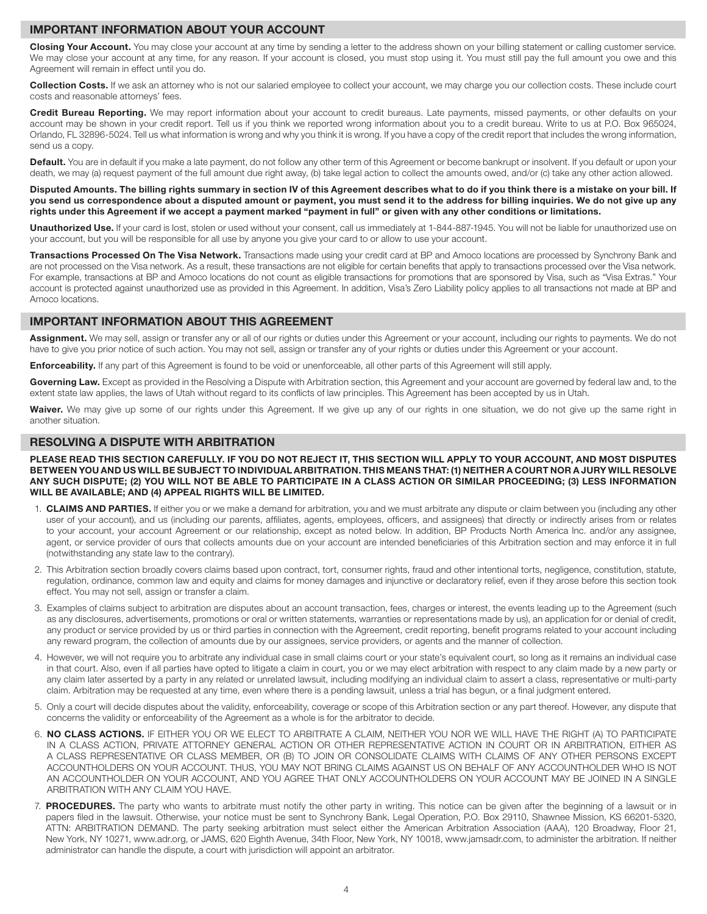#### IMPORTANT INFORMATION ABOUT YOUR ACCOUNT

Closing Your Account. You may close your account at any time by sending a letter to the address shown on your billing statement or calling customer service. We may close your account at any time, for any reason. If your account is closed, you must stop using it. You must still pay the full amount you owe and this Agreement will remain in effect until you do.

Collection Costs. If we ask an attorney who is not our salaried employee to collect your account, we may charge you our collection costs. These include court costs and reasonable attorneys' fees.

Credit Bureau Reporting. We may report information about your account to credit bureaus. Late payments, missed payments, or other defaults on your account may be shown in your credit report. Tell us if you think we reported wrong information about you to a credit bureau. Write to us at P.O. Box 965024, Orlando, FL 32896-5024. Tell us what information is wrong and why you think it is wrong. If you have a copy of the credit report that includes the wrong information, send us a copy.

Default. You are in default if you make a late payment, do not follow any other term of this Agreement or become bankrupt or insolvent. If you default or upon your death, we may (a) request payment of the full amount due right away, (b) take legal action to collect the amounts owed, and/or (c) take any other action allowed.

#### Disputed Amounts. The billing rights summary in section IV of this Agreement describes what to do if you think there is a mistake on your bill. If you send us correspondence about a disputed amount or payment, you must send it to the address for billing inquiries. We do not give up any rights under this Agreement if we accept a payment marked "payment in full" or given with any other conditions or limitations.

Unauthorized Use. If your card is lost, stolen or used without your consent, call us immediately at 1-844-887-1945. You will not be liable for unauthorized use on your account, but you will be responsible for all use by anyone you give your card to or allow to use your account.

Transactions Processed On The Visa Network. Transactions made using your credit card at BP and Amoco locations are processed by Synchrony Bank and are not processed on the Visa network. As a result, these transactions are not eligible for certain benefits that apply to transactions processed over the Visa network. For example, transactions at BP and Amoco locations do not count as eligible transactions for promotions that are sponsored by Visa, such as "Visa Extras." Your account is protected against unauthorized use as provided in this Agreement. In addition, Visa's Zero Liability policy applies to all transactions not made at BP and Amoco locations.

# IMPORTANT INFORMATION ABOUT THIS AGREEMENT

Assignment. We may sell, assign or transfer any or all of our rights or duties under this Agreement or your account, including our rights to payments. We do not have to give you prior notice of such action. You may not sell, assign or transfer any of your rights or duties under this Agreement or your account.

**Enforceability.** If any part of this Agreement is found to be void or unenforceable, all other parts of this Agreement will still apply.

Governing Law. Except as provided in the Resolving a Dispute with Arbitration section, this Agreement and your account are governed by federal law and, to the extent state law applies, the laws of Utah without regard to its conflicts of law principles. This Agreement has been accepted by us in Utah.

Waiver. We may give up some of our rights under this Agreement. If we give up any of our rights in one situation, we do not give up the same right in another situation.

#### RESOLVING A DISPUTE WITH ARBITRATION

PLEASE READ THIS SECTION CAREFULLY. IF YOU DO NOT REJECT IT, THIS SECTION WILL APPLY TO YOUR ACCOUNT, AND MOST DISPUTES BETWEEN YOU AND US WILL BE SUBJECT TO INDIVIDUAL ARBITRATION. THIS MEANS THAT: (1) NEITHER A COURT NOR A JURY WILL RESOLVE ANY SUCH DISPUTE; (2) YOU WILL NOT BE ABLE TO PARTICIPATE IN A CLASS ACTION OR SIMILAR PROCEEDING; (3) LESS INFORMATION WILL BE AVAILABLE; AND (4) APPEAL RIGHTS WILL BE LIMITED.

- 1. CLAIMS AND PARTIES. If either you or we make a demand for arbitration, you and we must arbitrate any dispute or claim between you (including any other user of your account), and us (including our parents, affiliates, agents, employees, officers, and assignees) that directly or indirectly arises from or relates to your account, your account Agreement or our relationship, except as noted below. In addition, BP Products North America Inc. and/or any assignee, agent, or service provider of ours that collects amounts due on your account are intended beneficiaries of this Arbitration section and may enforce it in full (notwithstanding any state law to the contrary).
- 2. This Arbitration section broadly covers claims based upon contract, tort, consumer rights, fraud and other intentional torts, negligence, constitution, statute, regulation, ordinance, common law and equity and claims for money damages and injunctive or declaratory relief, even if they arose before this section took effect. You may not sell, assign or transfer a claim.
- 3. Examples of claims subject to arbitration are disputes about an account transaction, fees, charges or interest, the events leading up to the Agreement (such as any disclosures, advertisements, promotions or oral or written statements, warranties or representations made by us), an application for or denial of credit, any product or service provided by us or third parties in connection with the Agreement, credit reporting, benefit programs related to your account including any reward program, the collection of amounts due by our assignees, service providers, or agents and the manner of collection.
- 4. However, we will not require you to arbitrate any individual case in small claims court or your state's equivalent court, so long as it remains an individual case in that court. Also, even if all parties have opted to litigate a claim in court, you or we may elect arbitration with respect to any claim made by a new party or any claim later asserted by a party in any related or unrelated lawsuit, including modifying an individual claim to assert a class, representative or multi-party claim. Arbitration may be requested at any time, even where there is a pending lawsuit, unless a trial has begun, or a final judgment entered.
- 5. Only a court will decide disputes about the validity, enforceability, coverage or scope of this Arbitration section or any part thereof. However, any dispute that concerns the validity or enforceability of the Agreement as a whole is for the arbitrator to decide.
- 6. NO CLASS ACTIONS. IF EITHER YOU OR WE ELECT TO ARBITRATE A CLAIM, NEITHER YOU NOR WE WILL HAVE THE RIGHT (A) TO PARTICIPATE IN A CLASS ACTION, PRIVATE ATTORNEY GENERAL ACTION OR OTHER REPRESENTATIVE ACTION IN COURT OR IN ARBITRATION, EITHER AS A CLASS REPRESENTATIVE OR CLASS MEMBER, OR (B) TO JOIN OR CONSOLIDATE CLAIMS WITH CLAIMS OF ANY OTHER PERSONS EXCEPT ACCOUNTHOLDERS ON YOUR ACCOUNT. THUS, YOU MAY NOT BRING CLAIMS AGAINST US ON BEHALF OF ANY ACCOUNTHOLDER WHO IS NOT AN ACCOUNTHOLDER ON YOUR ACCOUNT, AND YOU AGREE THAT ONLY ACCOUNTHOLDERS ON YOUR ACCOUNT MAY BE JOINED IN A SINGLE ARBITRATION WITH ANY CLAIM YOU HAVE.
- 7. PROCEDURES. The party who wants to arbitrate must notify the other party in writing. This notice can be given after the beginning of a lawsuit or in papers filed in the lawsuit. Otherwise, your notice must be sent to Synchrony Bank, Legal Operation, P.O. Box 29110, Shawnee Mission, KS 66201-5320, ATTN: ARBITRATION DEMAND. The party seeking arbitration must select either the American Arbitration Association (AAA), 120 Broadway, Floor 21, New York, NY 10271, www.adr.org, or JAMS, 620 Eighth Avenue, 34th Floor, New York, NY 10018, www.jamsadr.com, to administer the arbitration. If neither administrator can handle the dispute, a court with jurisdiction will appoint an arbitrator.